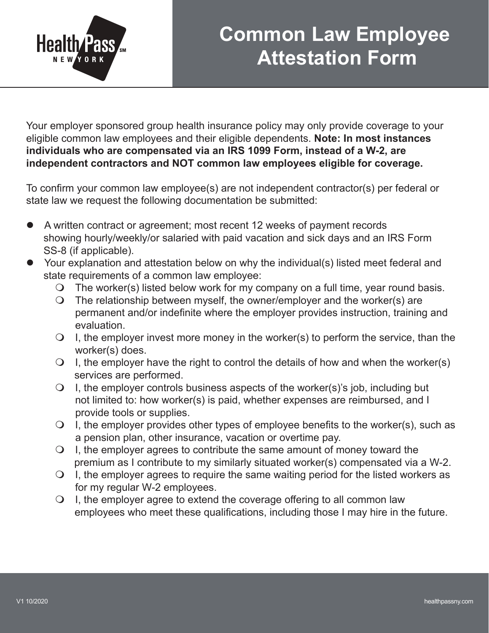

## **Common Law Employee Attestation Form**

Your employer sponsored group health insurance policy may only provide coverage to your eligible common law employees and their eligible dependents. **Note: In most instances individuals who are compensated via an IRS 1099 Form, instead of a W-2, are independent contractors and NOT common law employees eligible for coverage.** 

To confirm your common law employee(s) are not independent contractor(s) per federal or state law we request the following documentation be submitted:

- A written contract or agreement; most recent 12 weeks of payment records showing hourly/weekly/or salaried with paid vacation and sick days and an IRS Form SS-8 (if applicable).
- Your explanation and attestation below on why the individual(s) listed meet federal and state requirements of a common law employee:
	- $\bigcirc$  The worker(s) listed below work for my company on a full time, year round basis.
	- $\Omega$  The relationship between myself, the owner/employer and the worker(s) are permanent and/or indefinite where the employer provides instruction, training and evaluation.
	- $\Omega$  I, the employer invest more money in the worker(s) to perform the service, than the worker(s) does.
	- $\bigcirc$  I, the employer have the right to control the details of how and when the worker(s) services are performed.
	- $\overline{Q}$  I, the employer controls business aspects of the worker(s)'s job, including but not limited to: how worker(s) is paid, whether expenses are reimbursed, and I provide tools or supplies.
	- $\Omega$  I, the employer provides other types of employee benefits to the worker(s), such as a pension plan, other insurance, vacation or overtime pay.
	- $\Omega$  I, the employer agrees to contribute the same amount of money toward the premium as I contribute to my similarly situated worker(s) compensated via a W-2.
	- $\Omega$  I, the employer agrees to require the same waiting period for the listed workers as for my regular W-2 employees.
	- $\bigcirc$  I, the employer agree to extend the coverage offering to all common law employees who meet these qualifications, including those I may hire in the future.